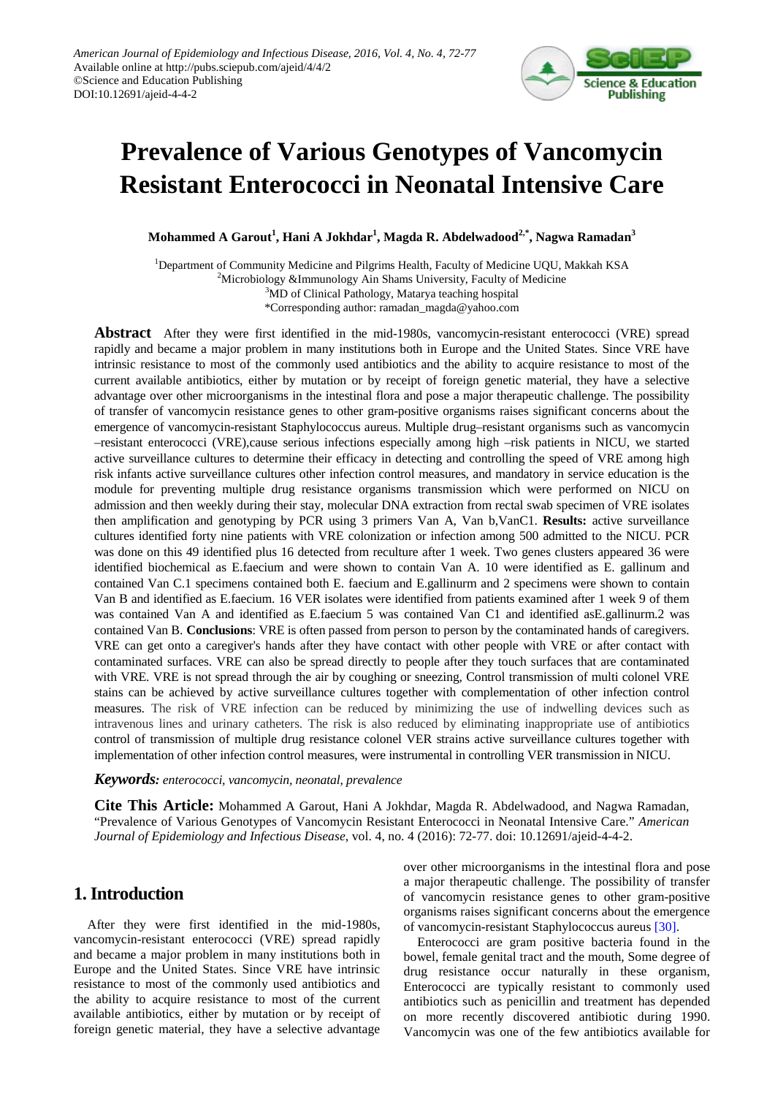

# **Prevalence of Various Genotypes of Vancomycin Resistant Enterococci in Neonatal Intensive Care**

**Mohammed A Garout<sup>1</sup> , Hani A Jokhdar<sup>1</sup> , Magda R. Abdelwadood2,\*, Nagwa Ramadan3**

<sup>1</sup>Department of Community Medicine and Pilgrims Health, Faculty of Medicine UQU, Makkah KSA <sup>2</sup>Microbiology &Immunology Ain Shams University, Faculty of Medicine <sup>3</sup>MD of Clinical Pathology, Matarya teaching hospital \*Corresponding author: ramadan\_magda@yahoo.com

**Abstract** After they were first identified in the mid-1980s, vancomycin-resistant enterococci (VRE) spread rapidly and became a major problem in many institutions both in Europe and the United States. Since VRE have intrinsic resistance to most of the commonly used antibiotics and the ability to acquire resistance to most of the current available antibiotics, either by mutation or by receipt of foreign genetic material, they have a selective advantage over other microorganisms in the intestinal flora and pose a major therapeutic challenge. The possibility of transfer of vancomycin resistance genes to other gram-positive organisms raises significant concerns about the emergence of vancomycin-resistant Staphylococcus aureus. Multiple drug–resistant organisms such as vancomycin –resistant enterococci (VRE),cause serious infections especially among high –risk patients in NICU, we started active surveillance cultures to determine their efficacy in detecting and controlling the speed of VRE among high risk infants active surveillance cultures other infection control measures, and mandatory in service education is the module for preventing multiple drug resistance organisms transmission which were performed on NICU on admission and then weekly during their stay, molecular DNA extraction from rectal swab specimen of VRE isolates then amplification and genotyping by PCR using 3 primers Van A, Van b,VanC1. **Results:** active surveillance cultures identified forty nine patients with VRE colonization or infection among 500 admitted to the NICU. PCR was done on this 49 identified plus 16 detected from reculture after 1 week. Two genes clusters appeared 36 were identified biochemical as E.faecium and were shown to contain Van A. 10 were identified as E. gallinum and contained Van C.1 specimens contained both E. faecium and E.gallinurm and 2 specimens were shown to contain Van B and identified as E.faecium. 16 VER isolates were identified from patients examined after 1 week 9 of them was contained Van A and identified as E.faecium 5 was contained Van C1 and identified asE.gallinurm.2 was contained Van B. **Conclusions**: VRE is often passed from person to person by the contaminated hands of caregivers. VRE can get onto a caregiver's hands after they have contact with other people with VRE or after contact with contaminated surfaces. VRE can also be spread directly to people after they touch surfaces that are contaminated with VRE. VRE is not spread through the air by coughing or sneezing, Control transmission of multi colonel VRE stains can be achieved by active surveillance cultures together with complementation of other infection control measures. The risk of VRE infection can be reduced by minimizing the use of indwelling devices such as intravenous lines and urinary catheters. The risk is also reduced by eliminating inappropriate use of antibiotics control of transmission of multiple drug resistance colonel VER strains active surveillance cultures together with implementation of other infection control measures, were instrumental in controlling VER transmission in NICU.

*Keywords: enterococci, vancomycin, neonatal, prevalence*

**Cite This Article:** Mohammed A Garout, Hani A Jokhdar, Magda R. Abdelwadood, and Nagwa Ramadan, "Prevalence of Various Genotypes of Vancomycin Resistant Enterococci in Neonatal Intensive Care." *American Journal of Epidemiology and Infectious Disease*, vol. 4, no. 4 (2016): 72-77. doi: 10.12691/ajeid-4-4-2.

## **1. Introduction**

After they were first identified in the mid-1980s, vancomycin-resistant enterococci (VRE) spread rapidly and became a major problem in many institutions both in Europe and the United States. Since VRE have intrinsic resistance to most of the commonly used antibiotics and the ability to acquire resistance to most of the current available antibiotics, either by mutation or by receipt of foreign genetic material, they have a selective advantage

over other microorganisms in the intestinal flora and pose a major therapeutic challenge. The possibility of transfer of vancomycin resistance genes to other gram-positive organisms raises significant concerns about the emergence of vancomycin-resistant Staphylococcus aureus [\[30\].](#page-5-0)

Enterococci are gram positive bacteria found in the bowel, female genital tract and the mouth, Some degree of drug resistance occur naturally in these organism, Enterococci are typically resistant to commonly used antibiotics such as penicillin and treatment has depended on more recently discovered antibiotic during 1990. Vancomycin was one of the few antibiotics available for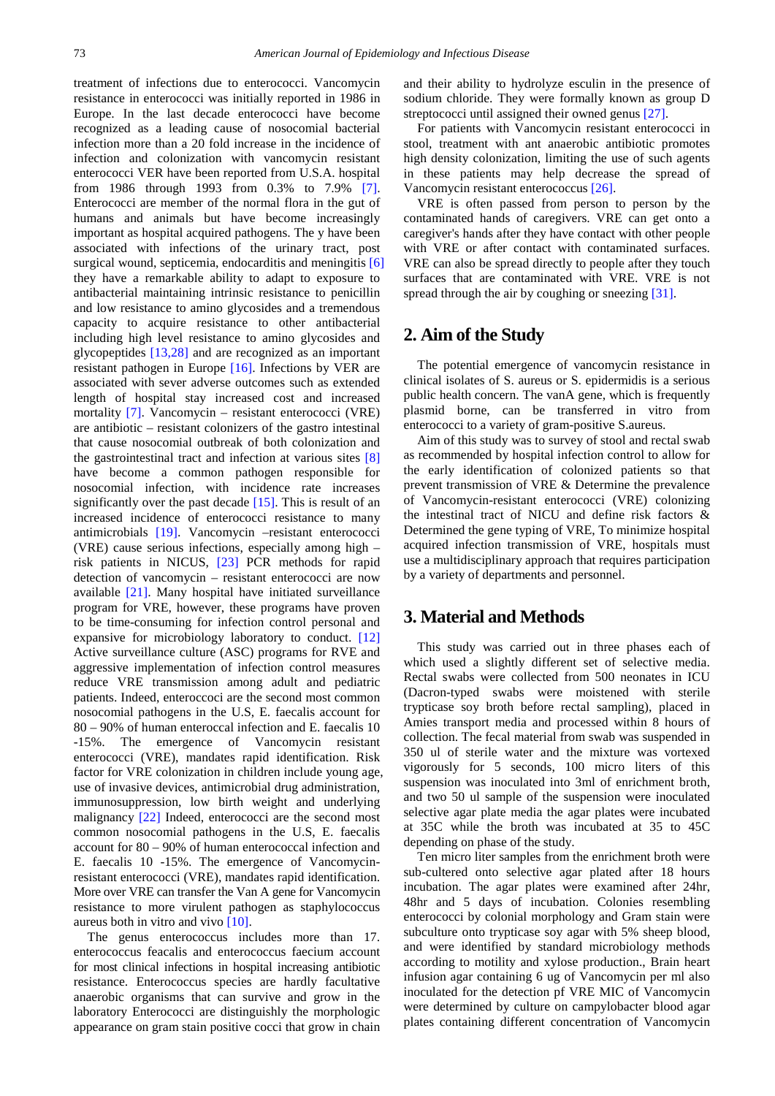treatment of infections due to enterococci. Vancomycin resistance in enterococci was initially reported in 1986 in Europe. In the last decade enterococci have become recognized as a leading cause of nosocomial bacterial infection more than a 20 fold increase in the incidence of infection and colonization with vancomycin resistant enterococci VER have been reported from U.S.A. hospital from 1986 through 1993 from 0.3% to 7.9% [\[7\].](#page-4-0) Enterococci are member of the normal flora in the gut of humans and animals but have become increasingly important as hospital acquired pathogens. The y have been associated with infections of the urinary tract, post surgical wound, septicemia, endocarditis and meningitis [\[6\]](#page-4-1) they have a remarkable ability to adapt to exposure to antibacterial maintaining intrinsic resistance to penicillin and low resistance to amino glycosides and a tremendous capacity to acquire resistance to other antibacterial including high level resistance to amino glycosides and glycopeptides [\[13,28\]](#page-4-2) and are recognized as an important resistant pathogen in Europe [\[16\].](#page-4-3) Infections by VER are associated with sever adverse outcomes such as extended length of hospital stay increased cost and increased mortality [\[7\].](#page-4-0) Vancomycin – resistant enterococci (VRE) are antibiotic – resistant colonizers of the gastro intestinal that cause nosocomial outbreak of both colonization and the gastrointestinal tract and infection at various sites [\[8\]](#page-4-4) have become a common pathogen responsible for nosocomial infection, with incidence rate increases significantly over the past decade [\[15\].](#page-4-5) This is result of an increased incidence of enterococci resistance to many antimicrobials [\[19\].](#page-4-6) Vancomycin –resistant enterococci (VRE) cause serious infections, especially among high – risk patients in NICUS, [\[23\]](#page-4-7) PCR methods for rapid detection of vancomycin – resistant enterococci are now available [\[21\].](#page-4-8) Many hospital have initiated surveillance program for VRE, however, these programs have proven to be time-consuming for infection control personal and expansive for microbiology laboratory to conduct. [\[12\]](#page-4-9) Active surveillance culture (ASC) programs for RVE and aggressive implementation of infection control measures reduce VRE transmission among adult and pediatric patients. Indeed, enteroccoci are the second most common nosocomial pathogens in the U.S, E. faecalis account for 80 – 90% of human enteroccal infection and E. faecalis 10 -15%. The emergence of Vancomycin resistant enterococci (VRE), mandates rapid identification. Risk factor for VRE colonization in children include young age, use of invasive devices, antimicrobial drug administration, immunosuppression, low birth weight and underlying malignancy [\[22\]](#page-4-10) Indeed, enterococci are the second most common nosocomial pathogens in the U.S, E. faecalis account for 80 – 90% of human enterococcal infection and E. faecalis 10 -15%. The emergence of Vancomycinresistant enterococci (VRE), mandates rapid identification. More over VRE can transfer the Van A gene for Vancomycin resistance to more virulent pathogen as staphylococcus aureus both in vitro and vivo [\[10\].](#page-4-11)

The genus enterococcus includes more than 17. enterococcus feacalis and enterococcus faecium account for most clinical infections in hospital increasing antibiotic resistance. Enterococcus species are hardly facultative anaerobic organisms that can survive and grow in the laboratory Enterococci are distinguishly the morphologic appearance on gram stain positive cocci that grow in chain and their ability to hydrolyze esculin in the presence of sodium chloride. They were formally known as group D streptococci until assigned their owned genu[s \[27\].](#page-5-1)

For patients with Vancomycin resistant enterococci in stool, treatment with ant anaerobic antibiotic promotes high density colonization, limiting the use of such agents in these patients may help decrease the spread of Vancomycin resistant enterococcus [\[26\].](#page-5-2)

VRE is often passed from person to person by the contaminated hands of caregivers. VRE can get onto a caregiver's hands after they have contact with other people with VRE or after contact with contaminated surfaces. VRE can also be spread directly to people after they touch surfaces that are contaminated with VRE. VRE is not spread through the air by coughing or sneezing [\[31\].](#page-5-3)

## **2. Aim of the Study**

The potential emergence of vancomycin resistance in clinical isolates of S. aureus or S. epidermidis is a serious public health concern. The vanA gene, which is frequently plasmid borne, can be transferred in vitro from enterococci to a variety of gram-positive S.aureus.

Aim of this study was to survey of stool and rectal swab as recommended by hospital infection control to allow for the early identification of colonized patients so that prevent transmission of VRE & Determine the prevalence of Vancomycin-resistant enterococci (VRE) colonizing the intestinal tract of NICU and define risk factors & Determined the gene typing of VRE, To minimize hospital acquired infection transmission of VRE, hospitals must use a multidisciplinary approach that requires participation by a variety of departments and personnel.

## **3. Material and Methods**

This study was carried out in three phases each of which used a slightly different set of selective media. Rectal swabs were collected from 500 neonates in ICU (Dacron-typed swabs were moistened with sterile trypticase soy broth before rectal sampling), placed in Amies transport media and processed within 8 hours of collection. The fecal material from swab was suspended in 350 ul of sterile water and the mixture was vortexed vigorously for 5 seconds, 100 micro liters of this suspension was inoculated into 3ml of enrichment broth, and two 50 ul sample of the suspension were inoculated selective agar plate media the agar plates were incubated at 35C while the broth was incubated at 35 to 45C depending on phase of the study.

Ten micro liter samples from the enrichment broth were sub-cultered onto selective agar plated after 18 hours incubation. The agar plates were examined after 24hr, 48hr and 5 days of incubation. Colonies resembling enterococci by colonial morphology and Gram stain were subculture onto trypticase soy agar with 5% sheep blood, and were identified by standard microbiology methods according to motility and xylose production., Brain heart infusion agar containing 6 ug of Vancomycin per ml also inoculated for the detection pf VRE MIC of Vancomycin were determined by culture on campylobacter blood agar plates containing different concentration of Vancomycin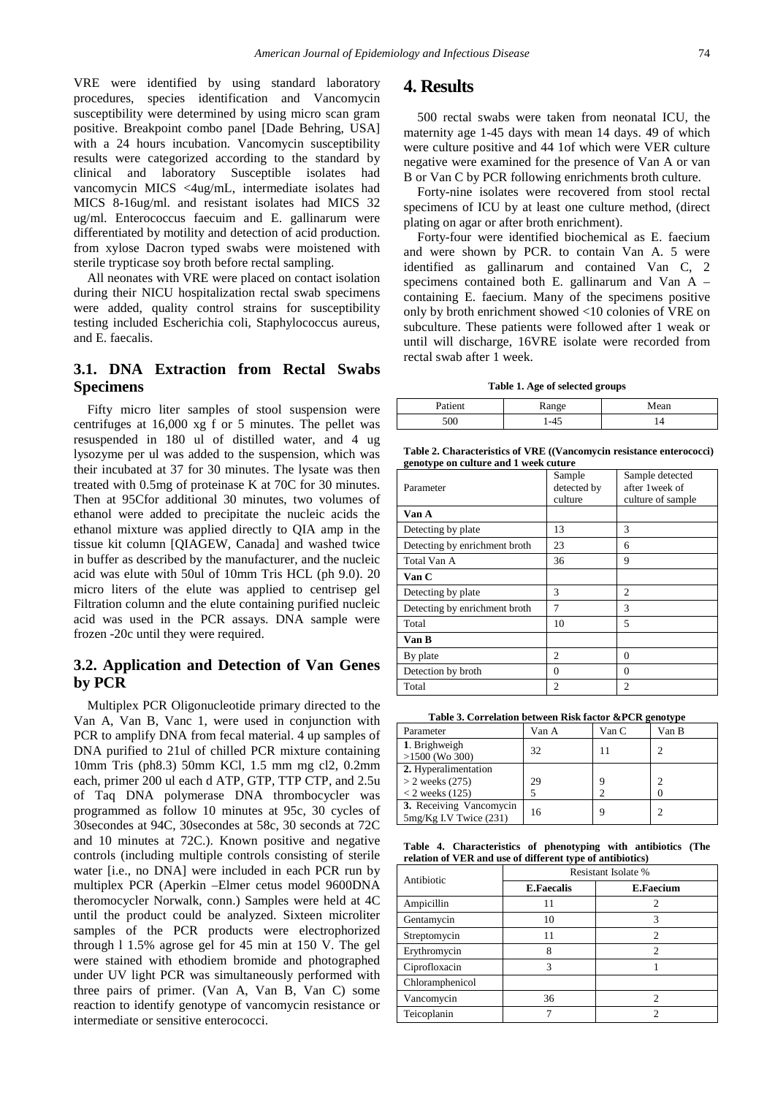VRE were identified by using standard laboratory procedures, species identification and Vancomycin susceptibility were determined by using micro scan gram positive. Breakpoint combo panel [Dade Behring, USA] with a 24 hours incubation. Vancomycin susceptibility results were categorized according to the standard by clinical and laboratory Susceptible isolates had vancomycin MICS <4ug/mL, intermediate isolates had MICS 8-16ug/ml. and resistant isolates had MICS 32 ug/ml. Enterococcus faecuim and E. gallinarum were differentiated by motility and detection of acid production. from xylose Dacron typed swabs were moistened with sterile trypticase soy broth before rectal sampling.

All neonates with VRE were placed on contact isolation during their NICU hospitalization rectal swab specimens were added, quality control strains for susceptibility testing included Escherichia coli, Staphylococcus aureus, and E. faecalis.

## **3.1. DNA Extraction from Rectal Swabs Specimens**

Fifty micro liter samples of stool suspension were centrifuges at 16,000 xg f or 5 minutes. The pellet was resuspended in 180 ul of distilled water, and 4 ug lysozyme per ul was added to the suspension, which was their incubated at 37 for 30 minutes. The lysate was then treated with 0.5mg of proteinase K at 70C for 30 minutes. Then at 95Cfor additional 30 minutes, two volumes of ethanol were added to precipitate the nucleic acids the ethanol mixture was applied directly to QIA amp in the tissue kit column [QIAGEW, Canada] and washed twice in buffer as described by the manufacturer, and the nucleic acid was elute with 50ul of 10mm Tris HCL (ph 9.0). 20 micro liters of the elute was applied to centrisep gel Filtration column and the elute containing purified nucleic acid was used in the PCR assays. DNA sample were frozen -20c until they were required.

## **3.2. Application and Detection of Van Genes by PCR**

Multiplex PCR Oligonucleotide primary directed to the Van A, Van B, Vanc 1, were used in conjunction with PCR to amplify DNA from fecal material. 4 up samples of DNA purified to 21ul of chilled PCR mixture containing 10mm Tris (ph8.3) 50mm KCl, 1.5 mm mg cl2, 0.2mm each, primer 200 ul each d ATP, GTP, TTP CTP, and 2.5u of Taq DNA polymerase DNA thrombocycler was programmed as follow 10 minutes at 95c, 30 cycles of 30secondes at 94C, 30secondes at 58c, 30 seconds at 72C and 10 minutes at 72C.). Known positive and negative controls (including multiple controls consisting of sterile water [i.e., no DNA] were included in each PCR run by multiplex PCR (Aperkin –Elmer cetus model 9600DNA theromocycler Norwalk, conn.) Samples were held at 4C until the product could be analyzed. Sixteen microliter samples of the PCR products were electrophorized through l 1.5% agrose gel for 45 min at 150 V. The gel were stained with ethodiem bromide and photographed under UV light PCR was simultaneously performed with three pairs of primer. (Van A, Van B, Van C) some reaction to identify genotype of vancomycin resistance or intermediate or sensitive enterococci.

#### **4. Results**

500 rectal swabs were taken from neonatal ICU, the maternity age 1-45 days with mean 14 days. 49 of which were culture positive and 44 1of which were VER culture negative were examined for the presence of Van A or van B or Van C by PCR following enrichments broth culture.

Forty-nine isolates were recovered from stool rectal specimens of ICU by at least one culture method, (direct plating on agar or after broth enrichment).

Forty-four were identified biochemical as E. faecium and were shown by PCR. to contain Van A. 5 were identified as gallinarum and contained Van C, 2 specimens contained both E. gallinarum and Van A – containing E. faecium. Many of the specimens positive only by broth enrichment showed <10 colonies of VRE on subculture. These patients were followed after 1 weak or until will discharge, 16VRE isolate were recorded from rectal swab after 1 week.

**Table 1. Age of selected groups**

| n.,<br> |       | ean<br>------- |
|---------|-------|----------------|
| 500     | $-47$ | . .<br>. .     |

**Table 2. Characteristics of VRE ((Vancomycin resistance enterococci) genotype on culture and 1 week cuture**

| Parameter                     | Sample<br>detected by<br>culture | Sample detected<br>after 1 week of<br>culture of sample |
|-------------------------------|----------------------------------|---------------------------------------------------------|
| Van A                         |                                  |                                                         |
| Detecting by plate            | 13                               | 3                                                       |
| Detecting by enrichment broth | 23                               | 6                                                       |
| Total Van A                   | 36                               | 9                                                       |
| Van C                         |                                  |                                                         |
| Detecting by plate            | 3                                | $\overline{c}$                                          |
| Detecting by enrichment broth | 7                                | 3                                                       |
| Total                         | 10                               | 5                                                       |
| Van B                         |                                  |                                                         |
| By plate                      | 2                                | 0                                                       |
| Detection by broth            | 0                                | 0                                                       |
| Total                         | $\overline{c}$                   | $\overline{c}$                                          |

**Table 3. Correlation between Risk factor &PCR genotype** 

| - 8 - - - - - <sub>-</sub> - -                        |       |       |       |
|-------------------------------------------------------|-------|-------|-------|
| Parameter                                             | Van A | Van C | Van B |
| 1. Brighweigh<br>$>1500$ (Wo 300)                     | 32    |       |       |
| 2. Hyperalimentation                                  |       |       |       |
| $>$ 2 weeks (275)                                     | 29    |       |       |
| $<$ 2 weeks (125)                                     |       |       |       |
| 3. Receiving Vancomycin<br>$5mg/Kg$ I.V Twice $(231)$ | 16    | Q     |       |

**Table 4. Characteristics of phenotyping with antibiotics (The relation of VER and use of different type of antibiotics)**

| Antibiotic      | Resistant Isolate % |                  |  |
|-----------------|---------------------|------------------|--|
|                 | <b>E.Faecalis</b>   | <b>E.Faecium</b> |  |
| Ampicillin      |                     | 2                |  |
| Gentamycin      | 10                  |                  |  |
| Streptomycin    |                     |                  |  |
| Erythromycin    | 8                   | っ                |  |
| Ciprofloxacin   | 3                   |                  |  |
| Chloramphenicol |                     |                  |  |
| Vancomycin      | 36                  | 2                |  |
| Teicoplanin     |                     |                  |  |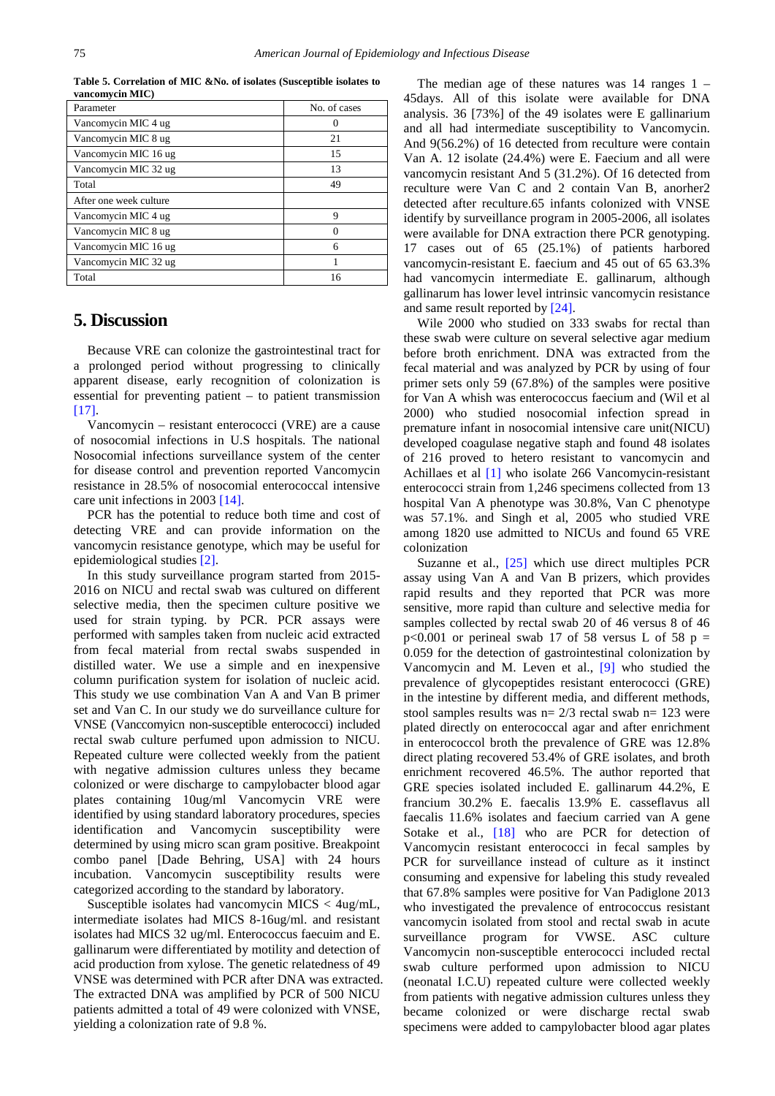**Table 5. Correlation of MIC &No. of isolates (Susceptible isolates to vancomycin MIC)**

| Parameter              | No. of cases |
|------------------------|--------------|
| Vancomycin MIC 4 ug    |              |
| Vancomycin MIC 8 ug    | 21           |
| Vancomycin MIC 16 ug   | 15           |
| Vancomycin MIC 32 ug   | 13           |
| Total                  | 49           |
| After one week culture |              |
| Vancomycin MIC 4 ug    | 9            |
| Vancomycin MIC 8 ug    |              |
| Vancomycin MIC 16 ug   | 6            |
| Vancomycin MIC 32 ug   |              |
| Total                  | 16           |

## **5. Discussion**

Because VRE can colonize the gastrointestinal tract for a prolonged period without progressing to clinically apparent disease, early recognition of colonization is essential for preventing patient – to patient transmission [\[17\].](#page-4-12)

Vancomycin – resistant enterococci (VRE) are a cause of nosocomial infections in U.S hospitals. The national Nosocomial infections surveillance system of the center for disease control and prevention reported Vancomycin resistance in 28.5% of nosocomial enterococcal intensive care unit infections in 200[3 \[14\].](#page-4-13)

PCR has the potential to reduce both time and cost of detecting VRE and can provide information on the vancomycin resistance genotype, which may be useful for epidemiological studies [\[2\].](#page-4-14)

In this study surveillance program started from 2015- 2016 on NICU and rectal swab was cultured on different selective media, then the specimen culture positive we used for strain typing. by PCR. PCR assays were performed with samples taken from nucleic acid extracted from fecal material from rectal swabs suspended in distilled water. We use a simple and en inexpensive column purification system for isolation of nucleic acid. This study we use combination Van A and Van B primer set and Van C. In our study we do surveillance culture for VNSE (Vanccomyicn non-susceptible enterococci) included rectal swab culture perfumed upon admission to NICU. Repeated culture were collected weekly from the patient with negative admission cultures unless they became colonized or were discharge to campylobacter blood agar plates containing 10ug/ml Vancomycin VRE were identified by using standard laboratory procedures, species identification and Vancomycin susceptibility were determined by using micro scan gram positive. Breakpoint combo panel [Dade Behring, USA] with 24 hours incubation. Vancomycin susceptibility results were categorized according to the standard by laboratory.

Susceptible isolates had vancomycin MICS < 4ug/mL, intermediate isolates had MICS 8-16ug/ml. and resistant isolates had MICS 32 ug/ml. Enterococcus faecuim and E. gallinarum were differentiated by motility and detection of acid production from xylose. The genetic relatedness of 49 VNSE was determined with PCR after DNA was extracted. The extracted DNA was amplified by PCR of 500 NICU patients admitted a total of 49 were colonized with VNSE, yielding a colonization rate of 9.8 %.

The median age of these natures was  $14$  ranges  $1 -$ 45days. All of this isolate were available for DNA analysis. 36 [73%] of the 49 isolates were E gallinarium and all had intermediate susceptibility to Vancomycin. And 9(56.2%) of 16 detected from reculture were contain Van A. 12 isolate (24.4%) were E. Faecium and all were vancomycin resistant And 5 (31.2%). Of 16 detected from reculture were Van C and 2 contain Van B, anorher2 detected after reculture.65 infants colonized with VNSE identify by surveillance program in 2005-2006, all isolates were available for DNA extraction there PCR genotyping. 17 cases out of 65 (25.1%) of patients harbored vancomycin-resistant E. faecium and 45 out of 65 63.3% had vancomycin intermediate E. gallinarum, although gallinarum has lower level intrinsic vancomycin resistance and same result reported by [\[24\].](#page-4-15)

Wile 2000 who studied on 333 swabs for rectal than these swab were culture on several selective agar medium before broth enrichment. DNA was extracted from the fecal material and was analyzed by PCR by using of four primer sets only 59 (67.8%) of the samples were positive for Van A whish was enterococcus faecium and (Wil et al 2000) who studied nosocomial infection spread in premature infant in nosocomial intensive care unit(NICU) developed coagulase negative staph and found 48 isolates of 216 proved to hetero resistant to vancomycin and Achillaes et al [\[1\]](#page-4-16) who isolate 266 Vancomycin-resistant enterococci strain from 1,246 specimens collected from 13 hospital Van A phenotype was 30.8%, Van C phenotype was 57.1%. and Singh et al, 2005 who studied VRE among 1820 use admitted to NICUs and found 65 VRE colonization

Suzanne et al., [\[25\]](#page-5-4) which use direct multiples PCR assay using Van A and Van B prizers, which provides rapid results and they reported that PCR was more sensitive, more rapid than culture and selective media for samples collected by rectal swab 20 of 46 versus 8 of 46  $p<0.001$  or perineal swab 17 of 58 versus L of 58 p = 0.059 for the detection of gastrointestinal colonization by Vancomycin and M. Leven et al., [\[9\]](#page-4-17) who studied the prevalence of glycopeptides resistant enterococci (GRE) in the intestine by different media, and different methods, stool samples results was  $n= 2/3$  rectal swab  $n= 123$  were plated directly on enterococcal agar and after enrichment in enterococcol broth the prevalence of GRE was 12.8% direct plating recovered 53.4% of GRE isolates, and broth enrichment recovered 46.5%. The author reported that GRE species isolated included E. gallinarum 44.2%, E francium 30.2% E. faecalis 13.9% E. casseflavus all faecalis 11.6% isolates and faecium carried van A gene Sotake et al., [\[18\]](#page-4-18) who are PCR for detection of Vancomycin resistant enterococci in fecal samples by PCR for surveillance instead of culture as it instinct consuming and expensive for labeling this study revealed that 67.8% samples were positive for Van Padiglone 2013 who investigated the prevalence of entrococcus resistant vancomycin isolated from stool and rectal swab in acute surveillance program for VWSE. ASC culture Vancomycin non-susceptible enterococci included rectal swab culture performed upon admission to NICU (neonatal I.C.U) repeated culture were collected weekly from patients with negative admission cultures unless they became colonized or were discharge rectal swab specimens were added to campylobacter blood agar plates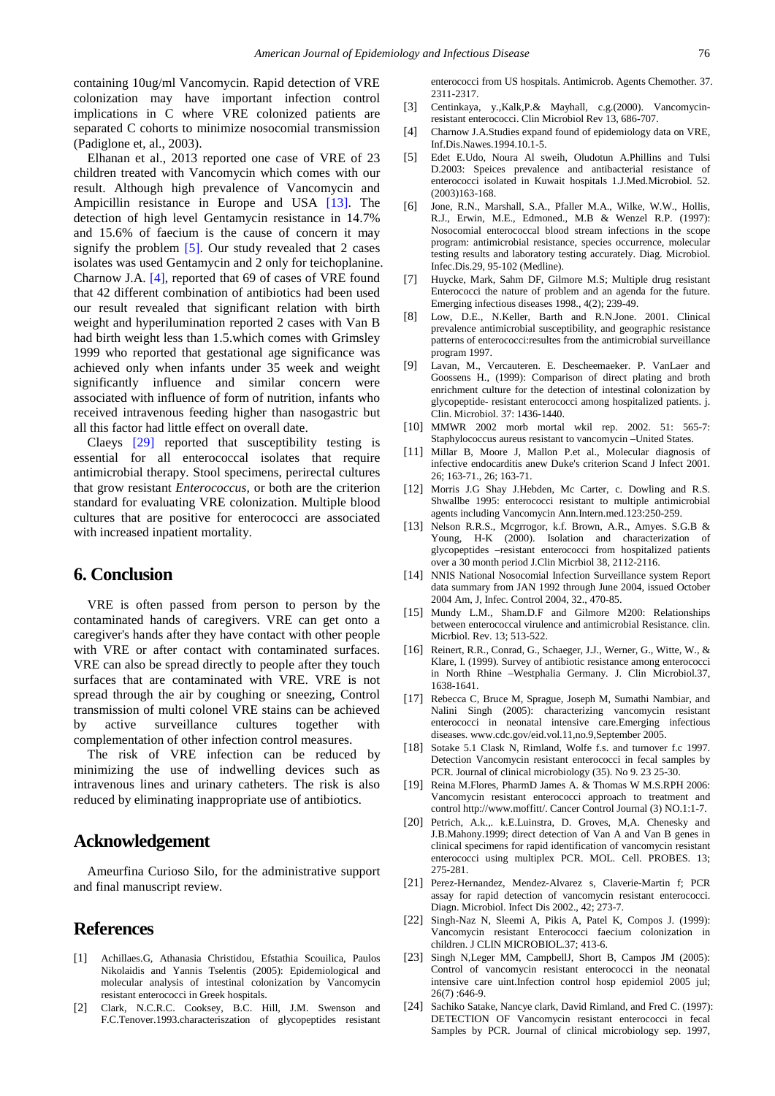containing 10ug/ml Vancomycin. Rapid detection of VRE colonization may have important infection control implications in C where VRE colonized patients are separated C cohorts to minimize nosocomial transmission (Padiglone et, al., 2003).

Elhanan et al., 2013 reported one case of VRE of 23 children treated with Vancomycin which comes with our result. Although high prevalence of Vancomycin and Ampicillin resistance in Europe and USA [\[13\].](#page-4-2) The detection of high level Gentamycin resistance in 14.7% and 15.6% of faecium is the cause of concern it may signify the problem  $[5]$ . Our study revealed that 2 cases isolates was used Gentamycin and 2 only for teichoplanine. Charnow J.A. [\[4\],](#page-4-20) reported that 69 of cases of VRE found that 42 different combination of antibiotics had been used our result revealed that significant relation with birth weight and hyperilumination reported 2 cases with Van B had birth weight less than 1.5.which comes with Grimsley 1999 who reported that gestational age significance was achieved only when infants under 35 week and weight significantly influence and similar concern were associated with influence of form of nutrition, infants who received intravenous feeding higher than nasogastric but all this factor had little effect on overall date.

Claeys [\[29\]](#page-5-5) reported that susceptibility testing is essential for all enterococcal isolates that require antimicrobial therapy. Stool specimens, perirectal cultures that grow resistant *Enterococcus,* or both are the criterion standard for evaluating VRE colonization. Multiple blood cultures that are positive for enterococci are associated with increased inpatient mortality.

## **6. Conclusion**

VRE is often passed from person to person by the contaminated hands of caregivers. VRE can get onto a caregiver's hands after they have contact with other people with VRE or after contact with contaminated surfaces. VRE can also be spread directly to people after they touch surfaces that are contaminated with VRE. VRE is not spread through the air by coughing or sneezing, Control transmission of multi colonel VRE stains can be achieved by active surveillance cultures together with complementation of other infection control measures.

The risk of VRE infection can be reduced by minimizing the use of indwelling devices such as intravenous lines and urinary catheters. The risk is also reduced by eliminating inappropriate use of antibiotics.

## **Acknowledgement**

Ameurfina Curioso Silo, for the administrative support and final manuscript review.

## **References**

- <span id="page-4-16"></span>[1] Achillaes.G, Athanasia Christidou, Efstathia Scouilica, Paulos Nikolaidis and Yannis Tselentis (2005): Epidemiological and molecular analysis of intestinal colonization by Vancomycin resistant enterococci in Greek hospitals.
- <span id="page-4-14"></span>[2] Clark, N.C.R.C. Cooksey, B.C. Hill, J.M. Swenson and F.C.Tenover.1993.characteriszation of glycopeptides resistant

enterococci from US hospitals. Antimicrob. Agents Chemother. 37. 2311-2317.

- [3] Centinkaya, y.,Kalk,P.& Mayhall, c.g.(2000). Vancomycinresistant enterococci. Clin Microbiol Rev 13, 686-707.
- <span id="page-4-20"></span>[4] Charnow J.A.Studies expand found of epidemiology data on VRE, Inf.Dis.Nawes.1994.10.1-5.
- <span id="page-4-19"></span>[5] Edet E.Udo, Noura Al sweih, Oludotun A.Phillins and Tulsi D.2003: Speices prevalence and antibacterial resistance of enterococci isolated in Kuwait hospitals 1.J.Med.Microbiol. 52. (2003)163-168.
- <span id="page-4-1"></span>[6] Jone, R.N., Marshall, S.A., Pfaller M.A., Wilke, W.W., Hollis, R.J., Erwin, M.E., Edmoned., M.B & Wenzel R.P. (1997): Nosocomial enterococcal blood stream infections in the scope program: antimicrobial resistance, species occurrence, molecular testing results and laboratory testing accurately. Diag. Microbiol. Infec.Dis.29, 95-102 (Medline).
- <span id="page-4-0"></span>[7] Huycke, Mark, Sahm DF, Gilmore M.S; Multiple drug resistant Enterococci the nature of problem and an agenda for the future. Emerging infectious diseases 1998., 4(2); 239-49.
- <span id="page-4-4"></span>[8] Low, D.E., N.Keller, Barth and R.N.Jone. 2001. Clinical prevalence antimicrobial susceptibility, and geographic resistance patterns of enterococci:resultes from the antimicrobial surveillance program 1997.
- <span id="page-4-17"></span>[9] Lavan, M., Vercauteren. E. Descheemaeker. P. VanLaer and Goossens H., (1999): Comparison of direct plating and broth enrichment culture for the detection of intestinal colonization by glycopeptide- resistant enterococci among hospitalized patients. j. Clin. Microbiol. 37: 1436-1440.
- <span id="page-4-11"></span>[10] MMWR 2002 morb mortal wkil rep. 2002. 51: 565-7: Staphylococcus aureus resistant to vancomycin –United States.
- [11] Millar B, Moore J, Mallon P.et al., Molecular diagnosis of infective endocarditis anew Duke's criterion Scand J Infect 2001. 26; 163-71., 26; 163-71.
- <span id="page-4-9"></span>[12] Morris J.G Shay J.Hebden, Mc Carter, c. Dowling and R.S. Shwallbe 1995: enterococci resistant to multiple antimicrobial agents including Vancomycin Ann.Intern.med.123:250-259.
- <span id="page-4-2"></span>[13] Nelson R.R.S., Mcgrrogor, k.f. Brown, A.R., Amyes. S.G.B & Young, H-K (2000). Isolation and characterization of glycopeptides –resistant enterococci from hospitalized patients over a 30 month period J.Clin Micrbiol 38, 2112-2116.
- <span id="page-4-13"></span>[14] NNIS National Nosocomial Infection Surveillance system Report data summary from JAN 1992 through June 2004, issued October 2004 Am, J, Infec. Control 2004, 32., 470-85.
- <span id="page-4-5"></span>[15] Mundy L.M., Sham.D.F and Gilmore M200: Relationships between enterococcal virulence and antimicrobial Resistance. clin. Micrbiol. Rev. 13; 513-522.
- <span id="page-4-3"></span>[16] Reinert, R.R., Conrad, G., Schaeger, J.J., Werner, G., Witte, W., & Klare, I. (1999). Survey of antibiotic resistance among enterococci in North Rhine –Westphalia Germany. J. Clin Microbiol.37, 1638-1641.
- <span id="page-4-12"></span>[17] Rebecca C, Bruce M, Sprague, Joseph M, Sumathi Nambiar, and Nalini Singh (2005): characterizing vancomycin resistant enterococci in neonatal intensive care.Emerging infectious diseases. www.cdc.gov/eid.vol.11,no.9,September 2005.
- <span id="page-4-18"></span>[18] Sotake 5.1 Clask N, Rimland, Wolfe f.s. and turnover f.c 1997. Detection Vancomycin resistant enterococci in fecal samples by PCR. Journal of clinical microbiology (35). No 9. 23 25-30.
- <span id="page-4-6"></span>[19] Reina M.Flores, PharmD James A. & Thomas W M.S.RPH 2006: Vancomycin resistant enterococci approach to treatment and control http://www.moffitt/. Cancer Control Journal (3) NO.1:1-7.
- [20] Petrich, A.k.,. k.E.Luinstra, D. Groves, M,A. Chenesky and J.B.Mahony.1999; direct detection of Van A and Van B genes in clinical specimens for rapid identification of vancomycin resistant enterococci using multiplex PCR. MOL. Cell. PROBES. 13; 275-281.
- <span id="page-4-8"></span>[21] Perez-Hernandez, Mendez-Alvarez s, Claverie-Martin f; PCR assay for rapid detection of vancomycin resistant enterococci. Diagn. Microbiol. Infect Dis 2002., 42; 273-7.
- <span id="page-4-10"></span>[22] Singh-Naz N, Sleemi A, Pikis A, Patel K, Compos J. (1999): Vancomycin resistant Enterococci faecium colonization in children. J CLIN MICROBIOL.37; 413-6.
- <span id="page-4-7"></span>[23] Singh N, Leger MM, CampbellJ, Short B, Campos JM (2005): Control of vancomycin resistant enterococci in the neonatal intensive care uint.Infection control hosp epidemiol 2005 jul; 26(7) :646-9.
- <span id="page-4-15"></span>[24] Sachiko Satake, Nancye clark, David Rimland, and Fred C. (1997): DETECTION OF Vancomycin resistant enterococci in fecal Samples by PCR. Journal of clinical microbiology sep. 1997,